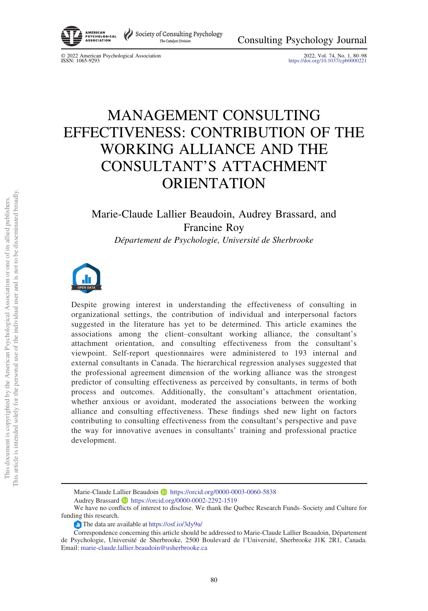

© 2022 American Psychological Association 2022, Vol. 74, No. 1, 80–<sup>98</sup> ISSN: 1065-9293 <https://doi.org/10.1037/cpb0000221>

# MANAGEMENT CONSULTING EFFECTIVENESS: CONTRIBUTION OF THE WORKING ALLIANCE AND THE CONSULTANT'S ATTACHMENT ORIENTATION

## Marie-Claude Lallier Beaudoin, Audrey Brassard, and Francine Roy Département de Psychologie, Université de Sherbrooke



Despite growing interest in understanding the effectiveness of consulting in organizational settings, the contribution of individual and interpersonal factors suggested in the literature has yet to be determined. This article examines the associations among the client–consultant working alliance, the consultant's attachment orientation, and consulting effectiveness from the consultant's viewpoint. Self-report questionnaires were administered to 193 internal and external consultants in Canada. The hierarchical regression analyses suggested that the professional agreement dimension of the working alliance was the strongest predictor of consulting effectiveness as perceived by consultants, in terms of both process and outcomes. Additionally, the consultant's attachment orientation, whether anxious or avoidant, moderated the associations between the working alliance and consulting effectiveness. These findings shed new light on factors contributing to consulting effectiveness from the consultant's perspective and pave the way for innovative avenues in consultants' training and professional practice development.

Marie-Claude Lallier Beaudoin D <https://orcid.org/0000-0003-0060-5838> Audrey Brassard **b** <https://orcid.org/0000-0002-2292-1519>

We have no conflicts of interest to disclose. We thank the Québec Research Funds–Society and Culture for funding this research.

The data are available at <https://osf.io/3dy9u/>

Correspondence concerning this article should be addressed to Marie-Claude Lallier Beaudoin, Département de Psychologie, Université de Sherbrooke, 2500 Boulevard de l'Université, Sherbrooke J1K 2R1, Canada. Email: [marie-claude.lallier.beaudoin@usherbrooke.ca](mailto:marie-claude.lallier.beaudoin@usherbrooke.ca)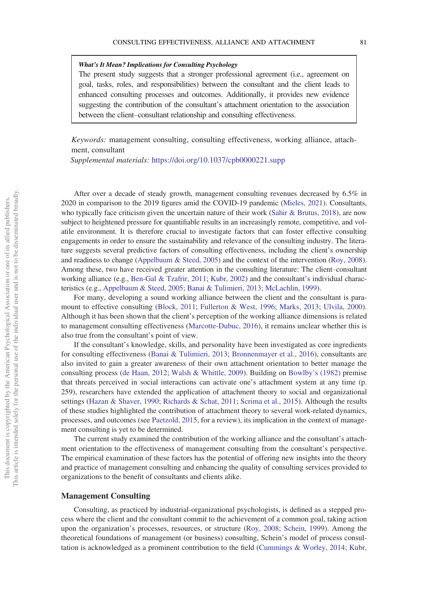#### What's It Mean? Implications for Consulting Psychology

The present study suggests that a stronger professional agreement (i.e., agreement on goal, tasks, roles, and responsibilities) between the consultant and the client leads to enhanced consulting processes and outcomes. Additionally, it provides new evidence suggesting the contribution of the consultant's attachment orientation to the association between the client–consultant relationship and consulting effectiveness.

Keywords: management consulting, consulting effectiveness, working alliance, attachment, consultant

Supplemental materials: <https://doi.org/10.1037/cpb0000221.supp>

After over a decade of steady growth, management consulting revenues decreased by 6.5% in 2020 in comparison to the 2019 figures amid the COVID-19 pandemic ([Mieles, 2021](#page-16-0)). Consultants, who typically face criticism given the uncertain nature of their work ([Sahir & Brutus, 2018\)](#page-17-0), are now subject to heightened pressure for quantifiable results in an increasingly remote, competitive, and volatile environment. It is therefore crucial to investigate factors that can foster effective consulting engagements in order to ensure the sustainability and relevance of the consulting industry. The literature suggests several predictive factors of consulting effectiveness, including the client's ownership and readiness to change [\(Appelbaum & Steed, 2005\)](#page-14-0) and the context of the intervention ([Roy, 2008\)](#page-17-1). Among these, two have received greater attention in the consulting literature: The client–consultant working alliance (e.g., [Ben-Gal & Tzafrir, 2011;](#page-14-1) [Kubr, 2002\)](#page-16-1) and the consultant's individual characteristics (e.g., [Appelbaum & Steed, 2005;](#page-14-0) [Banai & Tulimieri, 2013;](#page-14-2) [McLachlin, 1999](#page-16-2)).

For many, developing a sound working alliance between the client and the consultant is paramount to effective consulting ([Block, 2011;](#page-14-3) [Fullerton & West, 1996;](#page-15-0) [Marks, 2013;](#page-16-3) [Ulvila, 2000\)](#page-18-0). Although it has been shown that the client's perception of the working alliance dimensions is related to management consulting effectiveness [\(Marcotte-Dubuc, 2016](#page-16-4)), it remains unclear whether this is also true from the consultant's point of view.

If the consultant's knowledge, skills, and personality have been investigated as core ingredients for consulting effectiveness ([Banai & Tulimieri, 2013;](#page-14-2) [Bronnenmayer et al., 2016](#page-14-4)), consultants are also invited to gain a greater awareness of their own attachment orientation to better manage the consulting process [\(de Haan, 2012;](#page-15-1) [Walsh & Whittle, 2009\)](#page-18-1). Building on Bowlby'[s \(1982\)](#page-14-5) premise that threats perceived in social interactions can activate one's attachment system at any time (p. 259), researchers have extended the application of attachment theory to social and organizational settings ([Hazan & Shaver, 1990](#page-15-2); [Richards & Schat, 2011](#page-17-2); [Scrima et al., 2015](#page-18-2)). Although the results of these studies highlighted the contribution of attachment theory to several work-related dynamics, processes, and outcomes (see [Paetzold, 2015](#page-17-3), for a review), its implication in the context of management consulting is yet to be determined.

The current study examined the contribution of the working alliance and the consultant's attachment orientation to the effectiveness of management consulting from the consultant's perspective. The empirical examination of these factors has the potential of offering new insights into the theory and practice of management consulting and enhancing the quality of consulting services provided to organizations to the benefit of consultants and clients alike.

#### Management Consulting

Consulting, as practiced by industrial-organizational psychologists, is defined as a stepped process where the client and the consultant commit to the achievement of a common goal, taking action upon the organization's processes, resources, or structure ([Roy, 2008](#page-17-1); [Schein, 1999](#page-17-4)). Among the theoretical foundations of management (or business) consulting, Schein's model of process consultation is acknowledged as a prominent contribution to the field ([Cummings & Worley, 2014](#page-15-3); [Kubr,](#page-16-1)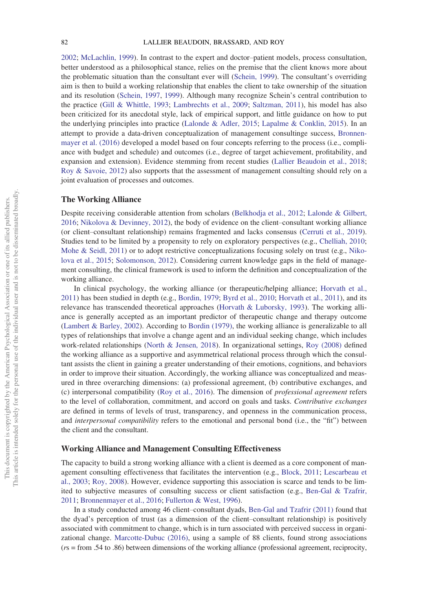[2002](#page-16-1); [McLachlin, 1999\)](#page-16-2). In contrast to the expert and doctor–patient models, process consultation, better understood as a philosophical stance, relies on the premise that the client knows more about the problematic situation than the consultant ever will ([Schein, 1999](#page-17-4)). The consultant's overriding aim is then to build a working relationship that enables the client to take ownership of the situation and its resolution ([Schein, 1997,](#page-17-5) [1999\)](#page-17-4). Although many recognize Schein's central contribution to the practice ([Gill & Whittle, 1993;](#page-15-4) [Lambrechts et al., 2009;](#page-16-5) [Saltzman, 2011\)](#page-17-6), his model has also been criticized for its anecdotal style, lack of empirical support, and little guidance on how to put the underlying principles into practice [\(Lalonde & Adler, 2015](#page-16-6); [Lapalme & Conklin, 2015\)](#page-16-7). In an attempt to provide a data-driven conceptualization of management consultinge success, [Bronnen](#page-14-4)[mayer et al. \(2016\)](#page-14-4) developed a model based on four concepts referring to the process (i.e., compliance with budget and schedule) and outcomes (i.e., degree of target achievement, profitability, and expansion and extension). Evidence stemming from recent studies ([Lallier Beaudoin et al., 2018;](#page-16-8) [Roy & Savoie, 2012\)](#page-17-7) also supports that the assessment of management consulting should rely on a joint evaluation of processes and outcomes.

#### The Working Alliance

Despite receiving considerable attention from scholars [\(Belkhodja et al., 2012;](#page-14-6) [Lalonde & Gilbert,](#page-16-9) [2016](#page-16-9); [Nikolova & Devinney, 2012\)](#page-17-8), the body of evidence on the client–consultant working alliance (or client–consultant relationship) remains fragmented and lacks consensus ([Cerruti et al., 2019\)](#page-15-5). Studies tend to be limited by a propensity to rely on exploratory perspectives (e.g., [Chelliah, 2010](#page-15-6); [Mohe & Seidl, 2011\)](#page-17-9) or to adopt restrictive conceptualizations focusing solely on trust (e.g., [Niko](#page-17-10)[lova et al., 2015](#page-17-10); [Solomonson, 2012](#page-18-3)). Considering current knowledge gaps in the field of management consulting, the clinical framework is used to inform the definition and conceptualization of the working alliance.

In clinical psychology, the working alliance (or therapeutic/helping alliance; [Horvath et al.,](#page-15-7) [2011](#page-15-7)) has been studied in depth (e.g., [Bordin, 1979;](#page-14-7) [Byrd et al., 2010](#page-15-8); [Horvath et al., 2011](#page-15-7)), and its relevance has transcended theoretical approaches [\(Horvath & Luborsky, 1993\)](#page-15-9). The working alliance is generally accepted as an important predictor of therapeutic change and therapy outcome ([Lambert & Barley, 2002](#page-16-10)). According to [Bordin \(1979\)](#page-14-7), the working alliance is generalizable to all types of relationships that involve a change agent and an individual seeking change, which includes work-related relationships ([North & Jensen, 2018](#page-17-11)). In organizational settings, [Roy \(2008\)](#page-17-1) defined the working alliance as a supportive and asymmetrical relational process through which the consultant assists the client in gaining a greater understanding of their emotions, cognitions, and behaviors in order to improve their situation. Accordingly, the working alliance was conceptualized and measured in three overarching dimensions: (a) professional agreement, (b) contributive exchanges, and (c) interpersonal compatibility [\(Roy et al., 2016\)](#page-17-12). The dimension of professional agreement refers to the level of collaboration, commitment, and accord on goals and tasks. Contributive exchanges are defined in terms of levels of trust, transparency, and openness in the communication process, and *interpersonal compatibility* refers to the emotional and personal bond (i.e., the "fit") between the client and the consultant.

#### Working Alliance and Management Consulting Effectiveness

The capacity to build a strong working alliance with a client is deemed as a core component of management consulting effectiveness that facilitates the intervention (e.g., [Block, 2011](#page-14-3); [Lescarbeau et](#page-16-11) [al., 2003;](#page-16-11) [Roy, 2008\)](#page-17-1). However, evidence supporting this association is scarce and tends to be limited to subjective measures of consulting success or client satisfaction (e.g., [Ben-Gal & Tzafrir,](#page-14-1) [2011](#page-14-1); [Bronnenmayer et al., 2016](#page-14-4); [Fullerton & West, 1996](#page-15-0)).

In a study conducted among 46 client–consultant dyads, [Ben-Gal and Tzafrir \(2011\)](#page-14-1) found that the dyad's perception of trust (as a dimension of the client–consultant relationship) is positively associated with commitment to change, which is in turn associated with perceived success in organizational change. [Marcotte-Dubuc \(2016\)](#page-16-4), using a sample of 88 clients, found strong associations (rs = from .54 to .86) between dimensions of the working alliance (professional agreement, reciprocity,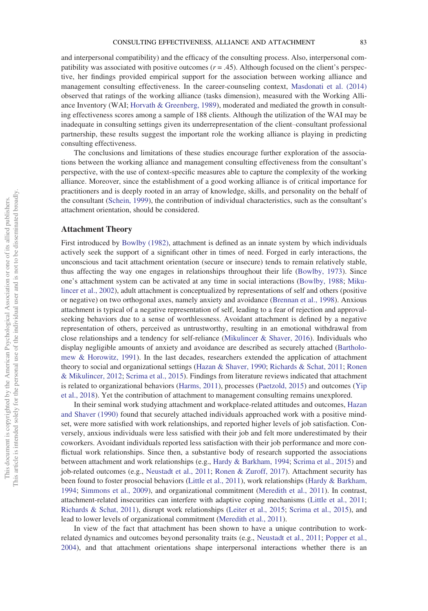and interpersonal compatibility) and the efficacy of the consulting process. Also, interpersonal compatibility was associated with positive outcomes  $(r = .45)$ . Although focused on the client's perspective, her findings provided empirical support for the association between working alliance and management consulting effectiveness. In the career-counseling context, [Masdonati et al. \(2014\)](#page-16-12) observed that ratings of the working alliance (tasks dimension), measured with the Working Alliance Inventory (WAI; [Horvath & Greenberg, 1989\)](#page-15-10), moderated and mediated the growth in consulting effectiveness scores among a sample of 188 clients. Although the utilization of the WAI may be inadequate in consulting settings given its underrepresentation of the client–consultant professional partnership, these results suggest the important role the working alliance is playing in predicting consulting effectiveness.

The conclusions and limitations of these studies encourage further exploration of the associations between the working alliance and management consulting effectiveness from the consultant's perspective, with the use of context-specific measures able to capture the complexity of the working alliance. Moreover, since the establishment of a good working alliance is of critical importance for practitioners and is deeply rooted in an array of knowledge, skills, and personality on the behalf of the consultant ([Schein, 1999\)](#page-17-4), the contribution of individual characteristics, such as the consultant's attachment orientation, should be considered.

#### Attachment Theory

First introduced by [Bowlby \(1982\),](#page-14-5) attachment is defined as an innate system by which individuals actively seek the support of a significant other in times of need. Forged in early interactions, the unconscious and tacit attachment orientation (secure or insecure) tends to remain relatively stable, thus affecting the way one engages in relationships throughout their life ([Bowlby, 1973](#page-14-8)). Since one's attachment system can be activated at any time in social interactions [\(Bowlby, 1988](#page-14-9); [Miku](#page-17-13)[lincer et al., 2002\)](#page-17-13), adult attachment is conceptualized by representations of self and others (positive or negative) on two orthogonal axes, namely anxiety and avoidance [\(Brennan et al., 1998](#page-14-10)). Anxious attachment is typical of a negative representation of self, leading to a fear of rejection and approvalseeking behaviors due to a sense of worthlessness. Avoidant attachment is defined by a negative representation of others, perceived as untrustworthy, resulting in an emotional withdrawal from close relationships and a tendency for self-reliance [\(Mikulincer & Shaver, 2016\)](#page-16-13). Individuals who display negligible amounts of anxiety and avoidance are described as securely attached ([Bartholo](#page-14-11)[mew & Horowitz, 1991\)](#page-14-11). In the last decades, researchers extended the application of attachment theory to social and organizational settings [\(Hazan & Shaver, 1990](#page-15-2); [Richards & Schat, 2011;](#page-17-2) [Ronen](#page-17-14) [& Mikulincer, 2012;](#page-17-14) [Scrima et al., 2015](#page-18-2)). Findings from literature reviews indicated that attachment is related to organizational behaviors ([Harms, 2011](#page-15-11)), processes [\(Paetzold, 2015](#page-17-3)) and outcomes ([Yip](#page-18-4) [et al., 2018\)](#page-18-4). Yet the contribution of attachment to management consulting remains unexplored.

In their seminal work studying attachment and workplace-related attitudes and outcomes, [Hazan](#page-15-2) [and Shaver \(1990\)](#page-15-2) found that securely attached individuals approached work with a positive mindset, were more satisfied with work relationships, and reported higher levels of job satisfaction. Conversely, anxious individuals were less satisfied with their job and felt more underestimated by their coworkers. Avoidant individuals reported less satisfaction with their job performance and more conflictual work relationships. Since then, a substantive body of research supported the associations between attachment and work relationships (e.g., [Hardy & Barkham, 1994;](#page-15-12) [Scrima et al., 2015\)](#page-18-2) and job-related outcomes (e.g., [Neustadt et al., 2011;](#page-17-15) [Ronen & Zuroff, 2017\)](#page-17-16). Attachment security has been found to foster prosocial behaviors ([Little et al., 2011\)](#page-16-14), work relationships ([Hardy & Barkham,](#page-15-12) [1994](#page-15-12); [Simmons et al., 2009](#page-18-5)), and organizational commitment ([Meredith et al., 2011](#page-16-15)). In contrast, attachment-related insecurities can interfere with adaptive coping mechanisms [\(Little et al., 2011](#page-16-14); [Richards & Schat, 2011](#page-17-2)), disrupt work relationships [\(Leiter et al., 2015](#page-16-16); [Scrima et al., 2015\)](#page-18-2), and lead to lower levels of organizational commitment ([Meredith et al., 2011\)](#page-16-15).

In view of the fact that attachment has been shown to have a unique contribution to workrelated dynamics and outcomes beyond personality traits (e.g., [Neustadt et al., 2011](#page-17-15); [Popper et al.,](#page-17-17) [2004](#page-17-17)), and that attachment orientations shape interpersonal interactions whether there is an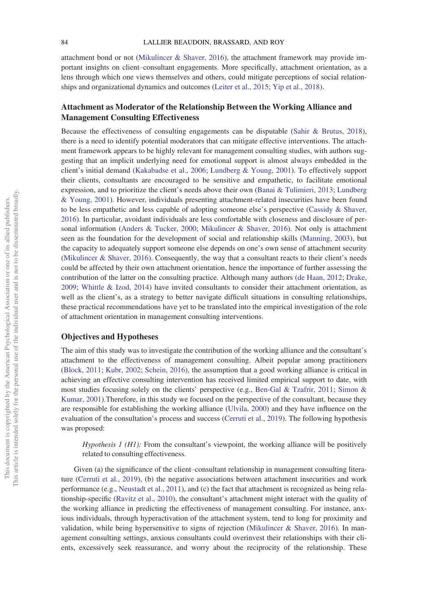attachment bond or not [\(Mikulincer & Shaver, 2016](#page-16-13)), the attachment framework may provide important insights on client–consultant engagements. More specifically, attachment orientation, as a lens through which one views themselves and others, could mitigate perceptions of social relationships and organizational dynamics and outcomes ([Leiter et al., 2015](#page-16-16); [Yip et al., 2018\)](#page-18-4).

## Attachment as Moderator of the Relationship Between the Working Alliance and Management Consulting Effectiveness

Because the effectiveness of consulting engagements can be disputable [\(Sahir & Brutus, 2018\)](#page-17-0), there is a need to identify potential moderators that can mitigate effective interventions. The attachment framework appears to be highly relevant for management consulting studies, with authors suggesting that an implicit underlying need for emotional support is almost always embedded in the client's initial demand [\(Kakabadse et al., 2006;](#page-15-13) [Lundberg & Young, 2001](#page-16-17)). To effectively support their clients, consultants are encouraged to be sensitive and empathetic, to facilitate emotional expression, and to prioritize the client's needs above their own [\(Banai & Tulimieri, 2013](#page-14-2); [Lundberg](#page-16-17) [& Young, 2001](#page-16-17)). However, individuals presenting attachment-related insecurities have been found to be less empathetic and less capable of adopting someone else's perspective ([Cassidy & Shaver,](#page-15-14) [2016](#page-15-14)). In particular, avoidant individuals are less comfortable with closeness and disclosure of personal information ([Anders & Tucker, 2000](#page-14-12); [Mikulincer & Shaver, 2016\)](#page-16-13). Not only is attachment seen as the foundation for the development of social and relationship skills [\(Manning, 2003](#page-16-18)), but the capacity to adequately support someone else depends on one's own sense of attachment security ([Mikulincer & Shaver, 2016\)](#page-16-13). Consequently, the way that a consultant reacts to their client's needs could be affected by their own attachment orientation, hence the importance of further assessing the contribution of the latter on the consulting practice. Although many authors [\(de Haan, 2012;](#page-15-1) [Drake,](#page-15-15) [2009](#page-15-15); [Whittle & Izod, 2014\)](#page-18-6) have invited consultants to consider their attachment orientation, as well as the client's, as a strategy to better navigate difficult situations in consulting relationships, these practical recommendations have yet to be translated into the empirical investigation of the role of attachment orientation in management consulting interventions.

### Objectives and Hypotheses

The aim of this study was to investigate the contribution of the working alliance and the consultant's attachment to the effectiveness of management consulting. Albeit popular among practitioners ([Block, 2011](#page-14-3); [Kubr, 2002;](#page-16-1) [Schein, 2016\)](#page-17-18), the assumption that a good working alliance is critical in achieving an effective consulting intervention has received limited empirical support to date, with most studies focusing solely on the clients' perspective (e.g., [Ben-Gal & Tzafrir, 2011;](#page-14-1) [Simon &](#page-18-7) [Kumar, 2001](#page-18-7)).Therefore, in this study we focused on the perspective of the consultant, because they are responsible for establishing the working alliance [\(Ulvila, 2000\)](#page-18-0) and they have influence on the evaluation of the consultation's process and success [\(Cerruti et al., 2019](#page-15-5)). The following hypothesis was proposed:

Hypothesis  $I(H)$ : From the consultant's viewpoint, the working alliance will be positively related to consulting effectiveness.

Given (a) the significance of the client–consultant relationship in management consulting literature [\(Cerruti et al., 2019](#page-15-5)), (b) the negative associations between attachment insecurities and work performance (e.g., [Neustadt et al., 2011\)](#page-17-15), and (c) the fact that attachment is recognized as being relationship-specific ([Ravitz et al., 2010](#page-17-19)), the consultant's attachment might interact with the quality of the working alliance in predicting the effectiveness of management consulting. For instance, anxious individuals, through hyperactivation of the attachment system, tend to long for proximity and validation, while being hypersensitive to signs of rejection [\(Mikulincer & Shaver, 2016\)](#page-16-13). In management consulting settings, anxious consultants could overinvest their relationships with their clients, excessively seek reassurance, and worry about the reciprocity of the relationship. These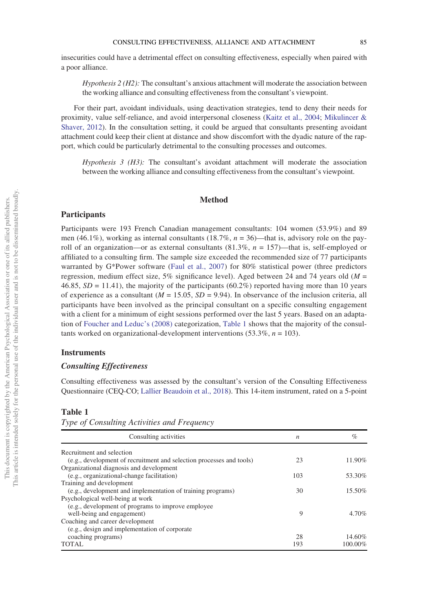insecurities could have a detrimental effect on consulting effectiveness, especially when paired with a poor alliance.

 $Hypothesis 2 (H2)$ : The consultant's anxious attachment will moderate the association between the working alliance and consulting effectiveness from the consultant's viewpoint.

For their part, avoidant individuals, using deactivation strategies, tend to deny their needs for proximity, value self-reliance, and avoid interpersonal closeness ([Kaitz et al., 2004;](#page-15-16) [Mikulincer &](#page-16-19) [Shaver, 2012](#page-16-19)). In the consultation setting, it could be argued that consultants presenting avoidant attachment could keep their client at distance and show discomfort with the dyadic nature of the rapport, which could be particularly detrimental to the consulting processes and outcomes.

Hypothesis  $3$  (H3): The consultant's avoidant attachment will moderate the association between the working alliance and consulting effectiveness from the consultant's viewpoint.

#### Method

#### Participants

Participants were 193 French Canadian management consultants: 104 women (53.9%) and 89 men (46.1%), working as internal consultants (18.7%,  $n = 36$ )—that is, advisory role on the payroll of an organization—or as external consultants  $(81.3\%, n = 157)$ —that is, self-employed or affiliated to a consulting firm. The sample size exceeded the recommended size of 77 participants warranted by G\*Power software [\(Faul et al., 2007](#page-15-17)) for 80% statistical power (three predictors regression, medium effect size, 5% significance level). Aged between 24 and 74 years old  $(M =$ 46.85,  $SD = 11.41$ ), the majority of the participants (60.2%) reported having more than 10 years of experience as a consultant ( $M = 15.05$ ,  $SD = 9.94$ ). In observance of the inclusion criteria, all participants have been involved as the principal consultant on a specific consulting engagement with a client for a minimum of eight sessions performed over the last 5 years. Based on an adaptation of [Foucher and Leduc](#page-15-18)'s (2008) categorization, [Table 1](#page-5-0) shows that the majority of the consultants worked on organizational-development interventions  $(53.3\%, n = 103)$ .

#### **Instruments**

# $\sum$

Consulting effectiveness was assessed by the consultant's version of the Consulting Effectiveness Questionnaire (CEQ-CO; [Lallier Beaudoin et al., 2018](#page-16-8)). This 14-item instrument, rated on a 5-point

<span id="page-5-0"></span>Table 1

Type of Consulting Activities and Frequency

| Consulting activities                                                | n   | %       |
|----------------------------------------------------------------------|-----|---------|
| Recruitment and selection                                            |     |         |
| (e.g., development of recruitment and selection processes and tools) | 23  | 11.90%  |
| Organizational diagnosis and development                             |     |         |
| (e.g., organizational-change facilitation)                           | 103 | 53.30%  |
| Training and development                                             |     |         |
| (e.g., development and implementation of training programs)          | 30  | 15.50%  |
| Psychological well-being at work                                     |     |         |
| (e.g., development of programs to improve employee)                  |     |         |
| well-being and engagement)                                           | 9   | 4.70%   |
| Coaching and career development                                      |     |         |
| (e.g., design and implementation of corporate                        |     |         |
|                                                                      | 28  | 14.60%  |
| <b>TOTAL</b>                                                         | 193 | 100.00% |
| coaching programs)                                                   |     |         |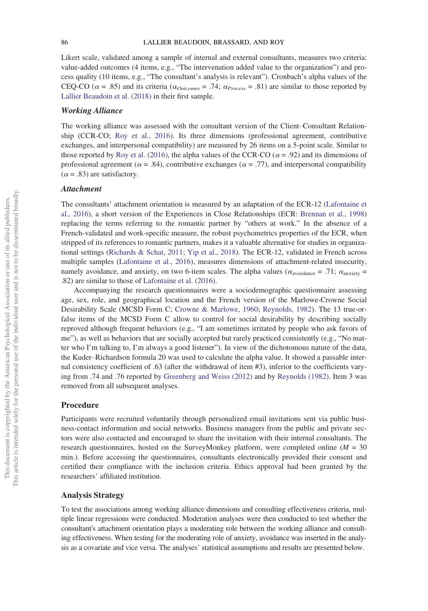#### 86 LALLIER BEAUDOIN, BRASSARD, AND ROY

Likert scale, validated among a sample of internal and external consultants, measures two criteria: value-added outcomes (4 items, e.g., "The intervenation added value to the organization") and process quality (10 items, e.g., "The consultant's analysis is relevant"). Cronbach's alpha values of the CEQ-CO ( $\alpha$  = .85) and its criteria ( $\alpha_{Outcomes}$  = .74;  $\alpha_{Process}$  = .81) are similar to those reported by [Lallier Beaudoin et al. \(2018\)](#page-16-8) in their first sample.

#### Working Alliance

The working alliance was assessed with the consultant version of the Client–Consultant Relationship (CCR-CO; [Roy et al., 2016](#page-17-12)). Its three dimensions (professional agreement, contributive exchanges, and interpersonal compatibility) are measured by 26 items on a 5-point scale. Similar to those reported by [Roy et al. \(2016\),](#page-17-12) the alpha values of the CCR-CO ( $\alpha$  = .92) and its dimensions of professional agreement ( $\alpha$  = .84), contributive exchanges ( $\alpha$  = .77), and interpersonal compatibility  $(\alpha = .83)$  are satisfactory.

#### **Attachment**

The consultants' attachment orientation is measured by an adaptation of the ECR-12 [\(Lafontaine et](#page-16-20) [al., 2016](#page-16-20)), a short version of the Experiences in Close Relationships (ECR: [Brennan et al., 1998\)](#page-14-10) replacing the terms referring to the romantic partner by "others at work." In the absence of a French-validated and work-specific measure, the robust psychometrics properties of the ECR, when stripped of its references to romantic partners, makes it a valuable alternative for studies in organizational settings [\(Richards & Schat, 2011](#page-17-2); [Yip et al., 2018\)](#page-18-4). The ECR-12, validated in French across multiple samples [\(Lafontaine et al., 2016](#page-16-20)), measures dimensions of attachment-related insecurity, namely avoidance, and anxiety, on two 6-item scales. The alpha values ( $\alpha_{\text{avoidance}} = .71$ ;  $\alpha_{\text{anxiety}} =$ .82) are similar to those of [Lafontaine et al. \(2016\).](#page-16-20)

Accompanying the research questionnaires were a sociodemographic questionnaire assessing age, sex, role, and geographical location and the French version of the Marlowe-Crowne Social Desirability Scale (MCSD Form C; [Crowne & Marlowe, 1960;](#page-15-19) [Reynolds, 1982\)](#page-17-20). The 13 true-orfalse items of the MCSD Form C allow to control for social desirability by describing socially reproved although frequent behaviors (e.g., "I am sometimes irritated by people who ask favors of me"), as well as behaviors that are socially accepted but rarely practiced consistently (e.g., "No matter who I'm talking to, I'm always a good listener"). In view of the dichotomous nature of the data, the Kuder–Richardson formula 20 was used to calculate the alpha value. It showed a passable internal consistency coefficient of .63 (after the withdrawal of item #3), inferior to the coefficients varying from .74 and .76 reported by [Greenberg and Weiss \(2012\)](#page-15-20) and by [Reynolds \(1982\)](#page-17-20). Item 3 was removed from all subsequent analyses.

#### Procedure

Participants were recruited voluntarily through personalized email invitations sent via public business-contact information and social networks. Business managers from the public and private sectors were also contacted and encouraged to share the invitation with their internal consultants. The research questionnaires, hosted on the SurveyMonkey platform, were completed online ( $M = 30$ min.). Before accessing the questionnaires, consultants electronically provided their consent and certified their compliance with the inclusion criteria. Ethics approval had been granted by the researchers' affiliated institution.

#### Analysis Strategy

To test the associations among working alliance dimensions and consulting effectiveness criteria, multiple linear regressions were conducted. Moderation analyses were then conducted to test whether the consultant's attachment orientation plays a moderating role between the working alliance and consulting effectiveness. When testing for the moderating role of anxiety, avoidance was inserted in the analysis as a covariate and vice versa. The analyses' statistical assumptions and results are presented below.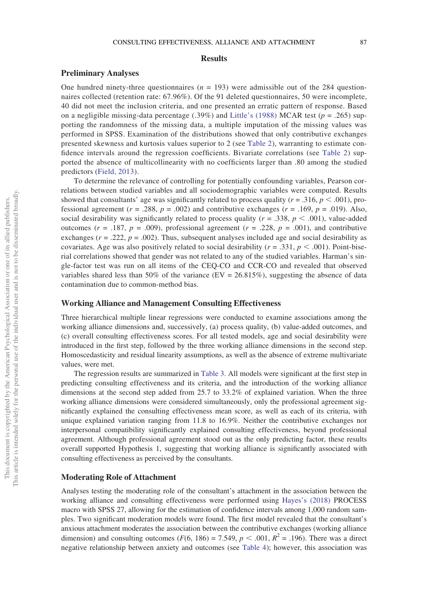#### **Results**

#### Preliminary Analyses

One hundred ninety-three questionnaires ( $n = 193$ ) were admissible out of the 284 questionnaires collected (retention rate: 67.96%). Of the 91 deleted questionnaires, 50 were incomplete, 40 did not meet the inclusion criteria, and one presented an erratic pattern of response. Based on a negligible missing-data percentage (.39%) and Little'[s \(1988\)](#page-16-21) MCAR test ( $p = .265$ ) supporting the randomness of the missing data, a multiple imputation of the missing values was performed in SPSS. Examination of the distributions showed that only contributive exchanges presented skewness and kurtosis values superior to 2 (see [Table 2](#page-8-0)), warranting to estimate confidence intervals around the regression coefficients. Bivariate correlations (see [Table 2](#page-8-0)) supported the absence of multicollinearity with no coefficients larger than .80 among the studied predictors [\(Field, 2013](#page-15-21)).

To determine the relevance of controlling for potentially confounding variables, Pearson correlations between studied variables and all sociodemographic variables were computed. Results showed that consultants' age was significantly related to process quality ( $r = .316$ ,  $p < .001$ ), professional agreement ( $r = .288$ ,  $p = .002$ ) and contributive exchanges ( $r = .169$ ,  $p = .019$ ). Also, social desirability was significantly related to process quality ( $r = .338$ ,  $p < .001$ ), value-added outcomes ( $r = .187$ ,  $p = .009$ ), professional agreement ( $r = .228$ ,  $p = .001$ ), and contributive exchanges ( $r = .222$ ,  $p = .002$ ). Thus, subsequent analyses included age and social desirability as covariates. Age was also positively related to social desirability ( $r = .331$ ,  $p < .001$ ). Point-biserial correlations showed that gender was not related to any of the studied variables. Harman's single-factor test was run on all items of the CEQ-CO and CCR-CO and revealed that observed variables shared less than 50% of the variance (EV = 26.815%), suggesting the absence of data contamination due to common-method bias.

#### Working Alliance and Management Consulting Effectiveness

Three hierarchical multiple linear regressions were conducted to examine associations among the working alliance dimensions and, successively, (a) process quality, (b) value-added outcomes, and (c) overall consulting effectiveness scores. For all tested models, age and social desirability were introduced in the first step, followed by the three working alliance dimensions in the second step. Homoscedasticity and residual linearity assumptions, as well as the absence of extreme multivariate values, were met.

The regression results are summarized in [Table 3](#page-9-0). All models were significant at the first step in predicting consulting effectiveness and its criteria, and the introduction of the working alliance dimensions at the second step added from 25.7 to 33.2% of explained variation. When the three working alliance dimensions were considered simultaneously, only the professional agreement significantly explained the consulting effectiveness mean score, as well as each of its criteria, with unique explained variation ranging from 11.8 to 16.9%. Neither the contributive exchanges nor interpersonal compatibility significantly explained consulting effectiveness, beyond professional agreement. Although professional agreement stood out as the only predicting factor, these results overall supported Hypothesis 1, suggesting that working alliance is significantly associated with consulting effectiveness as perceived by the consultants.

#### Moderating Role of Attachment

Analyses testing the moderating role of the consultant's attachment in the association between the working alliance and consulting effectiveness were performed using Hayes'[s \(2018\)](#page-15-22) PROCESS macro with SPSS 27, allowing for the estimation of confidence intervals among 1,000 random samples. Two significant moderation models were found. The first model revealed that the consultant's anxious attachment moderates the association between the contributive exchanges (working alliance dimension) and consulting outcomes ( $F(6, 186) = 7.549$ ,  $p < .001$ ,  $R^2 = .196$ ). There was a direct negative relationship between anxiety and outcomes (see [Table 4\)](#page-10-0); however, this association was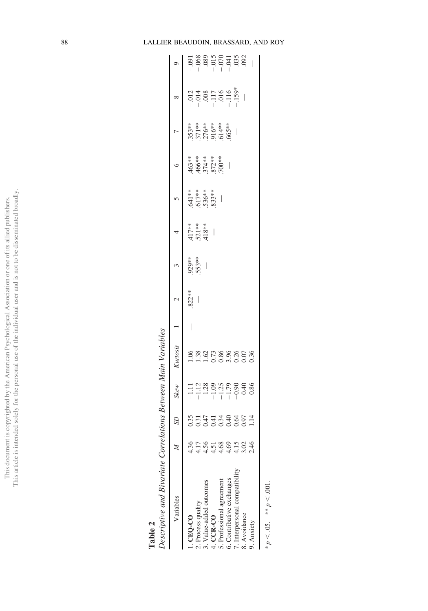### 88 LALLIER BEAUDOIN, BRASSARD, AND ROY

<span id="page-8-0"></span>

| Descriptive and Bivariate Correlations Between Main Variables |            |                  |                                                                           |                                  |   |                          |             |                                                           |                                              |                                    |                                                     |          |                                                                                                            |
|---------------------------------------------------------------|------------|------------------|---------------------------------------------------------------------------|----------------------------------|---|--------------------------|-------------|-----------------------------------------------------------|----------------------------------------------|------------------------------------|-----------------------------------------------------|----------|------------------------------------------------------------------------------------------------------------|
| Variables                                                     |            | S <sub>D</sub>   | <b>Skew</b>                                                               | Kurtosis                         |   | $\sim$                   | $\tilde{c}$ | $\overline{4}$                                            | $\frac{5}{2}$                                | $\circ$                            |                                                     | $\infty$ |                                                                                                            |
| CEQ-CO                                                        |            |                  |                                                                           |                                  | I | 822**                    |             |                                                           |                                              |                                    |                                                     |          |                                                                                                            |
| 2. Process quality                                            | -17        |                  |                                                                           |                                  |   | $\overline{\phantom{a}}$ | $553***$    |                                                           |                                              |                                    |                                                     |          |                                                                                                            |
| 3. Value-added outcomes                                       |            |                  |                                                                           |                                  |   |                          |             | $\begin{array}{c} 417** \\ 521** \\ 418** \\ \end{array}$ |                                              |                                    |                                                     |          |                                                                                                            |
| 4. CCR-CO                                                     | 151        | s<br>20000000001 | $-1.12$<br>$-1.28$<br>$-1.29$<br>$-1.79$<br>$-1.79$<br>$-1.79$<br>$-0.86$ | 1.06<br>1.07888805<br>1.00888055 |   |                          |             |                                                           | $641***$<br>$617***$<br>$536***$<br>$536***$ | 463**<br>466**<br>574***<br>572*** | $353**$<br>$371**$<br>$376**$<br>$516**$<br>$665**$ |          | $-0.05$<br>$-0.05$<br>$-0.05$<br>$-0.05$<br>$-0.05$<br>$-0.05$<br>$-0.05$<br>$-0.05$<br>$-0.05$<br>$-0.05$ |
| 5. Professional agreement                                     | $\dot{\S}$ |                  |                                                                           |                                  |   |                          |             |                                                           |                                              |                                    |                                                     |          |                                                                                                            |
| 6. Contributive exchanges                                     | 4.69       |                  |                                                                           |                                  |   |                          |             |                                                           |                                              |                                    |                                                     |          |                                                                                                            |
| 7. Interpersonal compatibility                                | 15         |                  |                                                                           |                                  |   |                          |             |                                                           |                                              |                                    |                                                     |          |                                                                                                            |
| 3. Avoidance                                                  | $\approx$  |                  |                                                                           |                                  |   |                          |             |                                                           |                                              |                                    |                                                     |          |                                                                                                            |
| 9. Anxiety                                                    |            |                  |                                                                           |                                  |   |                          |             |                                                           |                                              |                                    |                                                     |          |                                                                                                            |
| * $p < .05$ . ** $p < .001$ .                                 |            |                  |                                                                           |                                  |   |                          |             |                                                           |                                              |                                    |                                                     |          |                                                                                                            |

Table 2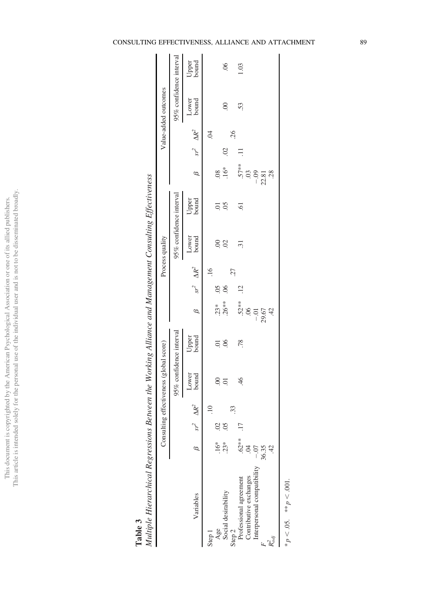# Table 3<br>Multiple

| $\tilde{z}$<br>ξ |
|------------------|
|                  |
| j                |
|                  |
|                  |
|                  |
|                  |
|                  |
|                  |
|                  |
| Ĭ.               |
| į                |
|                  |
| j                |
|                  |
|                  |
|                  |
|                  |
| j                |
|                  |
| Ĭ.               |
|                  |
|                  |
| ļ                |
|                  |
|                  |
|                  |
|                  |
|                  |
|                  |
| I                |
|                  |
|                  |
|                  |
| J                |
|                  |
| I                |
|                  |
|                  |
|                  |
|                  |
|                  |
| $\ddot{ }$       |
|                  |
| l                |
|                  |
| $\ddot{ }$<br>í  |
|                  |

<span id="page-9-0"></span>

|                             | Consu |          |                     | lting effectiveness (global score) |                |                     |                     |           | Process quality         |                |               |       |                     | Value-added outcomes    |                |
|-----------------------------|-------|----------|---------------------|------------------------------------|----------------|---------------------|---------------------|-----------|-------------------------|----------------|---------------|-------|---------------------|-------------------------|----------------|
|                             |       |          |                     | 95% confidence interval            |                |                     |                     |           | 95% confidence interval |                |               |       |                     | 95% confidence interval |                |
| Variables                   |       |          | $sr^2$ $\Delta R^2$ | Lower<br>bound                     | Upper<br>bound | $\beta$             | $sr^2$ $\Delta R^2$ |           | Lower<br>bound          | Upper<br>bound | $\mathscr{C}$ |       | $sr^2$ $\Delta R^2$ | Lower<br>bound          | Upper<br>bound |
| Step 1                      |       |          | $\Xi$               |                                    |                |                     |                     | $-16$     |                         |                |               |       | $\ddot{\mathrm{S}}$ |                         |                |
| Age                         | $16*$ | 8        |                     | $\odot$                            | $\overline{0}$ |                     | <b>SO</b> .         |           | $\odot$                 | 5.             | $\frac{8}{2}$ |       |                     |                         |                |
| Social desirability         | $23*$ | $\delta$ |                     | $\overline{0}$                     | 06             | $.23**$<br>$.26***$ | 06                  |           | $\overline{0}$          | 05             | $16*$         | S     |                     | $\ddot{\circ}$          | $\frac{6}{2}$  |
| Step <sub>2</sub>           |       |          | 33                  |                                    |                |                     |                     | <b>27</b> |                         |                |               |       | 26                  |                         |                |
| Professional agreement      | $63*$ |          |                     | 46                                 | .78            |                     | $\ddot{5}$          |           | $\overline{31}$         | $\overline{6}$ |               | $\Xi$ |                     | 53.                     | 1.03           |
| Contributive exchanges      |       |          |                     |                                    |                | $52**$<br>$06$      |                     |           |                         |                | $.57***$<br>3 |       |                     |                         |                |
| Interpersonal compatibility | $-0$  |          |                     |                                    |                | $-0.1$              |                     |           |                         |                | $-0.09$       |       |                     |                         |                |
|                             | 36.35 |          |                     |                                    |                | 29.67               |                     |           |                         |                | 22.81         |       |                     |                         |                |
|                             |       |          |                     |                                    |                | 42                  |                     |           |                         |                | 28            |       |                     |                         |                |
|                             |       |          |                     |                                    |                |                     |                     |           |                         |                |               |       |                     |                         |                |

 $* p < .05$ .  $* p < .001$ .  $*_{p}$  < .05.  $*_{p}$  < .001.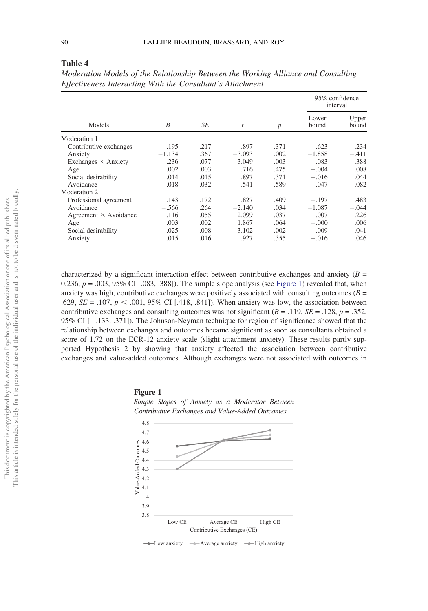| This article is intended solely for the personal use of the individual user and is not to be disseminated broad<br>This document is copyrighted by the American Psychological Association or one of its allied publishers. |  |
|----------------------------------------------------------------------------------------------------------------------------------------------------------------------------------------------------------------------------|--|
|                                                                                                                                                                                                                            |  |
|                                                                                                                                                                                                                            |  |

<span id="page-10-0"></span>Table 4

|                              |          |      |          |                  | 95% confidence<br>interval |                |
|------------------------------|----------|------|----------|------------------|----------------------------|----------------|
| Models                       | B        | SE   | t        | $\boldsymbol{p}$ | Lower<br>bound             | Upper<br>bound |
| Moderation 1                 |          |      |          |                  |                            |                |
| Contributive exchanges       | $-.195$  | .217 | $-.897$  | .371             | $-.623$                    | .234           |
| Anxiety                      | $-1.134$ | .367 | $-3.093$ | .002             | $-1.858$                   | $-.411$        |
| Exchanges $\times$ Anxiety   | .236     | .077 | 3.049    | .003             | .083                       | .388           |
| Age                          | .002     | .003 | .716     | .475             | $-.004$                    | .008           |
| Social desirability          | .014     | .015 | .897     | .371             | $-.016$                    | .044           |
| Avoidance                    | .018     | .032 | .541     | .589             | $-.047$                    | .082           |
| Moderation 2                 |          |      |          |                  |                            |                |
| Professional agreement       | .143     | .172 | .827     | .409             | $-.197$                    | .483           |
| Avoidance                    | $-.566$  | .264 | $-2.140$ | .034             | $-1.087$                   | $-.044$        |
| Agreement $\times$ Avoidance | .116     | .055 | 2.099    | .037             | .007                       | .226           |
| Age                          | .003     | .002 | 1.867    | .064             | $-.000$                    | .006           |
| Social desirability          | .025     | .008 | 3.102    | .002             | .009                       | .041           |
| Anxiety                      | .015     | .016 | .927     | .355             | $-.016$                    | .046           |

Moderation Models of the Relationship Between the Working Alliance and Consulting Effectiveness Interacting With the Consultant's Attachment

characterized by a significant interaction effect between contributive exchanges and anxiety  $(B =$ 0,236,  $p = .003$ , 95% CI [.083, .388]). The simple slope analysis (see Figure 1) revealed that, when anxiety was high, contributive exchanges were positively associated with consulting outcomes ( $B =$ .629,  $SE = .107$ ,  $p < .001$ , 95% CI [.418, .841]). When anxiety was low, the association between contributive exchanges and consulting outcomes was not significant ( $B = .119$ ,  $SE = .128$ ,  $p = .352$ , 95% CI  $[-.133, .371]$ ). The Johnson-Neyman technique for region of significance showed that the relationship between exchanges and outcomes became significant as soon as consultants obtained a score of 1.72 on the ECR-12 anxiety scale (slight attachment anxiety). These results partly supported Hypothesis 2 by showing that anxiety affected the association between contributive exchanges and value-added outcomes. Although exchanges were not associated with outcomes in





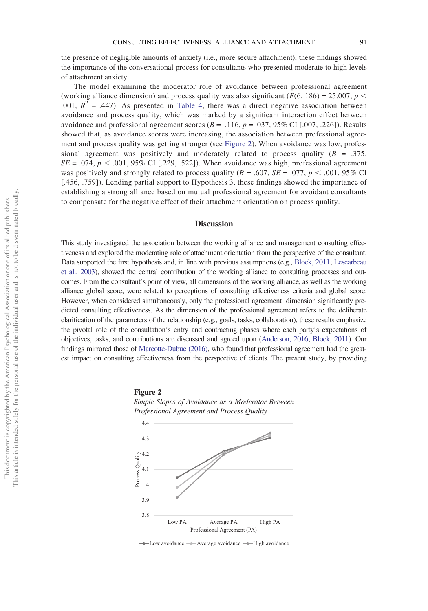the presence of negligible amounts of anxiety (i.e., more secure attachment), these findings showed the importance of the conversational process for consultants who presented moderate to high levels of attachment anxiety.

The model examining the moderator role of avoidance between professional agreement (working alliance dimension) and process quality was also significant ( $F(6, 186) = 25.007$ ,  $p <$ .001,  $R^2 = .447$ ). As presented in [Table 4](#page-10-0), there was a direct negative association between avoidance and process quality, which was marked by a significant interaction effect between avoidance and professional agreement scores ( $B = .116$ ,  $p = .037$ , 95% CI [.007, .226]). Results showed that, as avoidance scores were increasing, the association between professional agreement and process quality was getting stronger (see Figure 2). When avoidance was low, professional agreement was positively and moderately related to process quality ( $B = .375$ ,  $SE = .074$ ,  $p < .001$ , 95% CI [.229, .522]). When avoidance was high, professional agreement was positively and strongly related to process quality ( $B = .607$ ,  $SE = .077$ ,  $p < .001$ , 95% CI [.456, .759]). Lending partial support to Hypothesis 3, these findings showed the importance of establishing a strong alliance based on mutual professional agreement for avoidant consultants to compensate for the negative effect of their attachment orientation on process quality.

#### **Discussion**

This study investigated the association between the working alliance and management consulting effectiveness and explored the moderating role of attachment orientation from the perspective of the consultant. Data supported the first hypothesis and, in line with previous assumptions (e.g., [Block, 2011;](#page-14-3) [Lescarbeau](#page-16-11) [et al., 2003\)](#page-16-11), showed the central contribution of the working alliance to consulting processes and outcomes. From the consultant's point of view, all dimensions of the working alliance, as well as the working alliance global score, were related to perceptions of consulting effectiveness criteria and global score. However, when considered simultaneously, only the professional agreement dimension significantly predicted consulting effectiveness. As the dimension of the professional agreement refers to the deliberate clarification of the parameters of the relationship (e.g., goals, tasks, collaboration), these results emphasize the pivotal role of the consultation's entry and contracting phases where each party's expectations of objectives, tasks, and contributions are discussed and agreed upon [\(Anderson, 2016;](#page-14-13) [Block, 2011\)](#page-14-3). Our findings mirrored those of [Marcotte-Dubuc \(2016\)](#page-16-4), who found that professional agreement had the greatest impact on consulting effectiveness from the perspective of clients. The present study, by providing



-Low avoidance --Average avoidance --High avoidance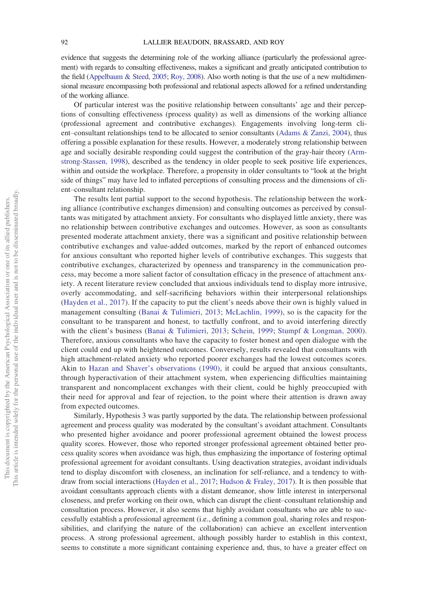evidence that suggests the determining role of the working alliance (particularly the professional agreement) with regards to consulting effectiveness, makes a significant and greatly anticipated contribution to the field [\(Appelbaum & Steed, 2005](#page-14-0); [Roy, 2008\)](#page-17-1). Also worth noting is that the use of a new multidimensional measure encompassing both professional and relational aspects allowed for a refined understanding of the working alliance.

Of particular interest was the positive relationship between consultants' age and their perceptions of consulting effectiveness (process quality) as well as dimensions of the working alliance (professional agreement and contributive exchanges). Engagements involving long-term client–consultant relationships tend to be allocated to senior consultants [\(Adams & Zanzi, 2004](#page-14-14)), thus offering a possible explanation for these results. However, a moderately strong relationship between age and socially desirable responding could suggest the contribution of the gray-hair theory ([Arm](#page-14-15)[strong-Stassen, 1998\)](#page-14-15), described as the tendency in older people to seek positive life experiences, within and outside the workplace. Therefore, a propensity in older consultants to "look at the bright side of things" may have led to inflated perceptions of consulting process and the dimensions of client–consultant relationship.

The results lent partial support to the second hypothesis. The relationship between the working alliance (contributive exchanges dimension) and consulting outcomes as perceived by consultants was mitigated by attachment anxiety. For consultants who displayed little anxiety, there was no relationship between contributive exchanges and outcomes. However, as soon as consultants presented moderate attachment anxiety, there was a significant and positive relationship between contributive exchanges and value-added outcomes, marked by the report of enhanced outcomes for anxious consultant who reported higher levels of contributive exchanges. This suggests that contributive exchanges, characterized by openness and transparency in the communication process, may become a more salient factor of consultation efficacy in the presence of attachment anxiety. A recent literature review concluded that anxious individuals tend to display more intrusive, overly accommodating, and self-sacrificing behaviors within their interpersonal relationships ([Hayden et al., 2017](#page-15-23)). If the capacity to put the client's needs above their own is highly valued in management consulting ([Banai & Tulimieri, 2013;](#page-14-2) [McLachlin, 1999\)](#page-16-2), so is the capacity for the consultant to be transparent and honest, to tactfully confront, and to avoid interfering directly with the client's business ([Banai & Tulimieri, 2013;](#page-14-2) [Schein, 1999;](#page-17-4) [Stumpf & Longman, 2000\)](#page-18-8). Therefore, anxious consultants who have the capacity to foster honest and open dialogue with the client could end up with heightened outcomes. Conversely, results revealed that consultants with high attachment-related anxiety who reported poorer exchanges had the lowest outcomes scores. Akin to Hazan and Shaver'[s observations \(1990\)](#page-15-2), it could be argued that anxious consultants, through hyperactivation of their attachment system, when experiencing difficulties maintaining transparent and noncomplacent exchanges with their client, could be highly preoccupied with their need for approval and fear of rejection, to the point where their attention is drawn away from expected outcomes.

Similarly, Hypothesis 3 was partly supported by the data. The relationship between professional agreement and process quality was moderated by the consultant's avoidant attachment. Consultants who presented higher avoidance and poorer professional agreement obtained the lowest process quality scores. However, those who reported stronger professional agreement obtained better process quality scores when avoidance was high, thus emphasizing the importance of fostering optimal professional agreement for avoidant consultants. Using deactivation strategies, avoidant individuals tend to display discomfort with closeness, an inclination for self-reliance, and a tendency to withdraw from social interactions [\(Hayden et al., 2017;](#page-15-23) [Hudson & Fraley, 2017\)](#page-15-24). It is then possible that avoidant consultants approach clients with a distant demeanor, show little interest in interpersonal closeness, and prefer working on their own, which can disrupt the client–consultant relationship and consultation process. However, it also seems that highly avoidant consultants who are able to successfully establish a professional agreement (i.e., defining a common goal, sharing roles and responsibilities, and clarifying the nature of the collaboration) can achieve an excellent intervention process. A strong professional agreement, although possibly harder to establish in this context, seems to constitute a more significant containing experience and, thus, to have a greater effect on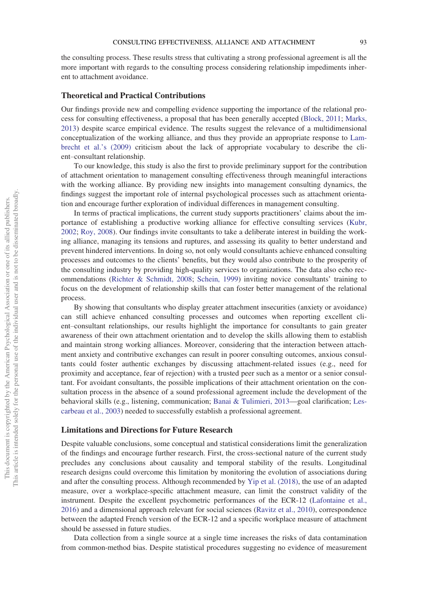the consulting process. These results stress that cultivating a strong professional agreement is all the more important with regards to the consulting process considering relationship impediments inherent to attachment avoidance.

#### Theoretical and Practical Contributions

Our findings provide new and compelling evidence supporting the importance of the relational process for consulting effectiveness, a proposal that has been generally accepted [\(Block, 2011;](#page-14-3) [Marks,](#page-16-3) [2013](#page-16-3)) despite scarce empirical evidence. The results suggest the relevance of a multidimensional conceptualization of the working alliance, and thus they provide an appropriate response to [Lam](#page-16-5)[brecht et al.](#page-16-5)'s (2009) criticism about the lack of appropriate vocabulary to describe the client–consultant relationship.

To our knowledge, this study is also the first to provide preliminary support for the contribution of attachment orientation to management consulting effectiveness through meaningful interactions with the working alliance. By providing new insights into management consulting dynamics, the findings suggest the important role of internal psychological processes such as attachment orientation and encourage further exploration of individual differences in management consulting.

In terms of practical implications, the current study supports practitioners' claims about the importance of establishing a productive working alliance for effective consulting services [\(Kubr,](#page-16-1) [2002](#page-16-1); [Roy, 2008\)](#page-17-1). Our findings invite consultants to take a deliberate interest in building the working alliance, managing its tensions and ruptures, and assessing its quality to better understand and prevent hindered interventions. In doing so, not only would consultants achieve enhanced consulting processes and outcomes to the clients' benefits, but they would also contribute to the prosperity of the consulting industry by providing high-quality services to organizations. The data also echo recommendations [\(Richter & Schmidt, 2008](#page-17-21); [Schein, 1999\)](#page-17-4) inviting novice consultants' training to focus on the development of relationship skills that can foster better management of the relational process.

By showing that consultants who display greater attachment insecurities (anxiety or avoidance) can still achieve enhanced consulting processes and outcomes when reporting excellent client–consultant relationships, our results highlight the importance for consultants to gain greater awareness of their own attachment orientation and to develop the skills allowing them to establish and maintain strong working alliances. Moreover, considering that the interaction between attachment anxiety and contributive exchanges can result in poorer consulting outcomes, anxious consultants could foster authentic exchanges by discussing attachment-related issues (e.g., need for proximity and acceptance, fear of rejection) with a trusted peer such as a mentor or a senior consultant. For avoidant consultants, the possible implications of their attachment orientation on the consultation process in the absence of a sound professional agreement include the development of the behavioral skills (e.g., listening, communication; [Banai & Tulimieri, 2013](#page-14-2)—goal clarification; [Les](#page-16-11)[carbeau et al., 2003](#page-16-11)) needed to successfully establish a professional agreement.

#### Limitations and Directions for Future Research

Despite valuable conclusions, some conceptual and statistical considerations limit the generalization of the findings and encourage further research. First, the cross-sectional nature of the current study precludes any conclusions about causality and temporal stability of the results. Longitudinal research designs could overcome this limitation by monitoring the evolution of associations during and after the consulting process. Although recommended by [Yip et al. \(2018\)](#page-18-4), the use of an adapted measure, over a workplace-specific attachment measure, can limit the construct validity of the instrument. Despite the excellent psychometric performances of the ECR-12 ([Lafontaine et al.,](#page-16-20) [2016](#page-16-20)) and a dimensional approach relevant for social sciences ([Ravitz et al., 2010](#page-17-19)), correspondence between the adapted French version of the ECR-12 and a specific workplace measure of attachment should be assessed in future studies.

Data collection from a single source at a single time increases the risks of data contamination from common-method bias. Despite statistical procedures suggesting no evidence of measurement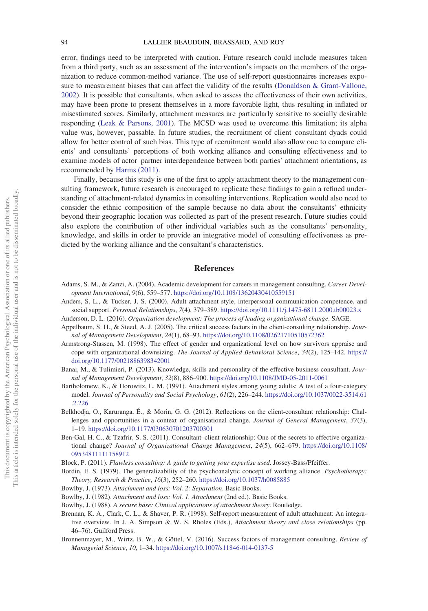error, findings need to be interpreted with caution. Future research could include measures taken from a third party, such as an assessment of the intervention's impacts on the members of the organization to reduce common-method variance. The use of self-report questionnaires increases exposure to measurement biases that can affect the validity of the results ([Donaldson & Grant-Vallone,](#page-15-25) [2002](#page-15-25)). It is possible that consultants, when asked to assess the effectiveness of their own activities, may have been prone to present themselves in a more favorable light, thus resulting in inflated or misestimated scores. Similarly, attachment measures are particularly sensitive to socially desirable responding [\(Leak & Parsons, 2001\)](#page-16-22). The MCSD was used to overcome this limitation; its alpha value was, however, passable. In future studies, the recruitment of client–consultant dyads could allow for better control of such bias. This type of recruitment would also allow one to compare clients' and consultants' perceptions of both working alliance and consulting effectiveness and to examine models of actor–partner interdependence between both parties' attachment orientations, as recommended by [Harms \(2011\)](#page-15-11).

Finally, because this study is one of the first to apply attachment theory to the management consulting framework, future research is encouraged to replicate these findings to gain a refined understanding of attachment-related dynamics in consulting interventions. Replication would also need to consider the ethnic composition of the sample because no data about the consultants' ethnicity beyond their geographic location was collected as part of the present research. Future studies could also explore the contribution of other individual variables such as the consultants' personality, knowledge, and skills in order to provide an integrative model of consulting effectiveness as predicted by the working alliance and the consultant's characteristics.

#### References

- <span id="page-14-14"></span>Adams, S. M., & Zanzi, A. (2004). Academic development for careers in management consulting. Career Development International, 9(6), 559–577. <https://doi.org/10.1108/13620430410559151>
- <span id="page-14-12"></span>Anders, S. L., & Tucker, J. S. (2000). Adult attachment style, interpersonal communication competence, and social support. Personal Relationships, 7(4), 379-389. <https://doi.org/10.1111/j.1475-6811.2000.tb00023.x>
- <span id="page-14-13"></span>Anderson, D. L. (2016). Organization development: The process of leading organizational change. SAGE.
- <span id="page-14-0"></span>Appelbaum, S. H., & Steed, A. J. (2005). The critical success factors in the client-consulting relationship. Journal of Management Development, 24(1), 68–93. <https://doi.org/10.1108/02621710510572362>
- <span id="page-14-15"></span>Armstrong-Stassen, M. (1998). The effect of gender and organizational level on how survivors appraise and cope with organizational downsizing. The Journal of Applied Behavioral Science, 34(2), 125–142. [https://](https://doi.org/10.1177/0021886398342001) [doi.org/10.1177/0021886398342001](https://doi.org/10.1177/0021886398342001)
- <span id="page-14-2"></span>Banai, M., & Tulimieri, P. (2013). Knowledge, skills and personality of the effective business consultant. Journal of Management Development, 32(8), 886–900. <https://doi.org/10.1108/JMD-05-2011-0061>
- <span id="page-14-11"></span>Bartholomew, K., & Horowitz, L. M. (1991). Attachment styles among young adults: A test of a four-category model. Journal of Personality and Social Psychology, 61(2), 226–244. [https://doi.org/10.1037/0022-3514.61](https://doi.org/10.1037/0022-3514.61.2.226) [.2.226](https://doi.org/10.1037/0022-3514.61.2.226)
- <span id="page-14-6"></span>Belkhodja, O., Karuranga, É., & Morin, G. G. (2012). Reflections on the client-consultant relationship: Challenges and opportunities in a context of organisational change. Journal of General Management, 37(3), 1–19. <https://doi.org/10.1177/030630701203700301>
- <span id="page-14-1"></span>Ben-Gal, H. C., & Tzafrir, S. S. (2011). Consultant–client relationship: One of the secrets to effective organizational change? Journal of Organizational Change Management, 24(5), 662–679. [https://doi.org/10.1108/](https://doi.org/10.1108/09534811111158912) [09534811111158912](https://doi.org/10.1108/09534811111158912)
- <span id="page-14-3"></span>Block, P. (2011). Flawless consulting: A guide to getting your expertise used. Jossey-Bass/Pfeiffer.
- <span id="page-14-7"></span>Bordin, E. S. (1979). The generalizability of the psychoanalytic concept of working alliance. Psychotherapy: Theory, Research & Practice, 16(3), 252–260. <https://doi.org/10.1037/h0085885>
- <span id="page-14-8"></span>Bowlby, J. (1973). Attachment and loss: Vol. 2: Separation. Basic Books.
- <span id="page-14-5"></span>Bowlby, J. (1982). Attachment and loss: Vol. 1. Attachment (2nd ed.). Basic Books.
- <span id="page-14-9"></span>Bowlby, J. (1988). A secure base: Clinical applications of attachment theory. Routledge.
- <span id="page-14-10"></span>Brennan, K. A., Clark, C. L., & Shaver, P. R. (1998). Self-report measurement of adult attachment: An integrative overview. In J. A. Simpson & W. S. Rholes (Eds.), Attachment theory and close relationships (pp. 46–76). Guilford Press.
- <span id="page-14-4"></span>Bronnenmayer, M., Wirtz, B. W., & Göttel, V. (2016). Success factors of management consulting. Review of Managerial Science, 10, 1–34. <https://doi.org/10.1007/s11846-014-0137-5>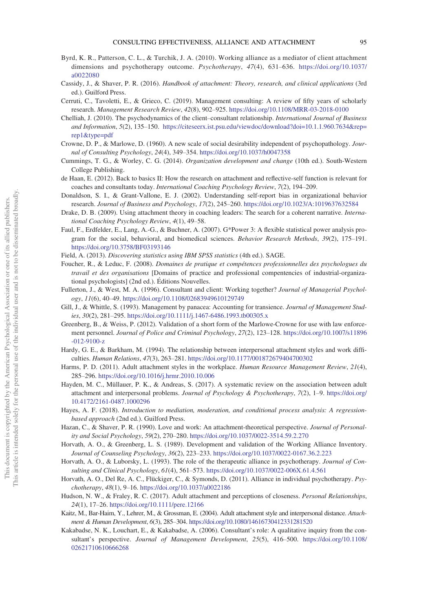- <span id="page-15-8"></span>Byrd, K. R., Patterson, C. L., & Turchik, J. A. (2010). Working alliance as a mediator of client attachment dimensions and psychotherapy outcome. Psychotherapy, 47(4), 631–636. [https://doi.org/10.1037/](https://doi.org/10.1037/a0022080) [a0022080](https://doi.org/10.1037/a0022080)
- <span id="page-15-14"></span>Cassidy, J., & Shaver, P. R. (2016). Handbook of attachment: Theory, research, and clinical applications (3rd ed.). Guilford Press.
- <span id="page-15-5"></span>Cerruti, C., Tavoletti, E., & Grieco, C. (2019). Management consulting: A review of fifty years of scholarly research. Management Research Review, 42(8), 902–925. <https://doi.org/10.1108/MRR-03-2018-0100>
- <span id="page-15-6"></span>Chelliah, J. (2010). The psychodynamics of the client–consultant relationship. International Journal of Business and Information, 5(2), 135–150. [https://citeseerx.ist.psu.edu/viewdoc/download?doi=10.1.1.960.7634&rep=](https://citeseerx.ist.psu.edu/viewdoc/download?doi=10.1.1.960.7634&rep=rep1&type=pdf) [rep1&type=pdf](https://citeseerx.ist.psu.edu/viewdoc/download?doi=10.1.1.960.7634&rep=rep1&type=pdf)
- <span id="page-15-19"></span>Crowne, D. P., & Marlowe, D. (1960). A new scale of social desirability independent of psychopathology. Journal of Consulting Psychology, 24(4), 349–354. <https://doi.org/10.1037/h0047358>
- <span id="page-15-3"></span>Cummings, T. G., & Worley, C. G. (2014). Organization development and change (10th ed.). South-Western College Publishing.
- <span id="page-15-1"></span>de Haan, E. (2012). Back to basics II: How the research on attachment and reflective-self function is relevant for coaches and consultants today. International Coaching Psychology Review, 7(2), 194–209.
- <span id="page-15-25"></span>Donaldson, S. I., & Grant-Vallone, E. J. (2002). Understanding self-report bias in organizational behavior research. Journal of Business and Psychology, 17(2), 245–260. <https://doi.org/10.1023/A:1019637632584>
- <span id="page-15-15"></span>Drake, D. B. (2009). Using attachment theory in coaching leaders: The search for a coherent narrative. International Coaching Psychology Review, 4(1), 49–58.
- <span id="page-15-17"></span>Faul, F., Erdfelder, E., Lang, A.-G., & Buchner, A. (2007). G\*Power 3: A flexible statistical power analysis program for the social, behavioral, and biomedical sciences. Behavior Research Methods, 39(2), 175–191. <https://doi.org/10.3758/BF03193146>
- <span id="page-15-21"></span>Field, A. (2013). Discovering statistics using IBM SPSS statistics (4th ed.). SAGE.
- <span id="page-15-18"></span>Foucher, R., & Leduc, F. (2008). Domaines de pratique et compétences professionnelles des psychologues du travail et des organisations [Domains of practice and professional compentencies of industrial-organizational psychologists] (2nd ed.). Editions Nouvelles.
- <span id="page-15-0"></span>Fullerton, J., & West, M. A. (1996). Consultant and client: Working together? Journal of Managerial Psychology, 11(6), 40–49. <https://doi.org/10.1108/02683949610129749>
- <span id="page-15-4"></span>Gill, J., & Whittle, S. (1993). Management by panacea: Accounting for transience. Journal of Management Studies, 30(2), 281–295. <https://doi.org/10.1111/j.1467-6486.1993.tb00305.x>
- <span id="page-15-20"></span>Greenberg, B., & Weiss, P. (2012). Validation of a short form of the Marlowe-Crowne for use with law enforcement personnel. Journal of Police and Criminal Psychology, 27(2), 123-128. [https://doi.org/10.1007/s11896](https://doi.org/10.1007/s11896-012-9100-z) [-012-9100-z](https://doi.org/10.1007/s11896-012-9100-z)
- <span id="page-15-12"></span>Hardy, G. E., & Barkham, M. (1994). The relationship between interpersonal attachment styles and work difficulties. Human Relations, 47(3), 263–281. <https://doi.org/10.1177/001872679404700302>
- <span id="page-15-11"></span>Harms, P. D. (2011). Adult attachment styles in the workplace. Human Resource Management Review, 21(4), 285–296. <https://doi.org/10.1016/j.hrmr.2010.10.006>
- <span id="page-15-23"></span>Hayden, M. C., Müllauer, P. K., & Andreas, S. (2017). A systematic review on the association between adult attachment and interpersonal problems. Journal of Psychology & Psychotherapy, 7(2), 1–9. [https://doi.org/](https://doi.org/10.4172/2161-0487.1000296) [10.4172/2161-0487.1000296](https://doi.org/10.4172/2161-0487.1000296)
- <span id="page-15-22"></span>Hayes, A. F. (2018). Introduction to mediation, moderation, and conditional process analysis: A regressionbased approach (2nd ed.). Guilford Press.
- <span id="page-15-2"></span>Hazan, C., & Shaver, P. R. (1990). Love and work: An attachment-theoretical perspective. Journal of Personality and Social Psychology, 59(2), 270–280. <https://doi.org/10.1037/0022-3514.59.2.270>
- <span id="page-15-10"></span>Horvath, A. O., & Greenberg, L. S. (1989). Development and validation of the Working Alliance Inventory. Journal of Counseling Psychology, 36(2), 223–233. <https://doi.org/10.1037/0022-0167.36.2.223>
- <span id="page-15-9"></span>Horvath, A. O., & Luborsky, L. (1993). The role of the therapeutic alliance in psychotherapy. Journal of Consulting and Clinical Psychology, 61(4), 561–573. <https://doi.org/10.1037/0022-006X.61.4.561>
- <span id="page-15-7"></span>Horvath, A. O., Del Re, A. C., Flückiger, C., & Symonds, D. (2011). Alliance in individual psychotherapy. Psychotherapy, 48(1), 9–16. <https://doi.org/10.1037/a0022186>
- <span id="page-15-24"></span>Hudson, N. W., & Fraley, R. C. (2017). Adult attachment and perceptions of closeness. Personal Relationships, 24(1), 17–26. <https://doi.org/10.1111/pere.12166>
- <span id="page-15-16"></span>Kaitz, M., Bar-Haim, Y., Lehrer, M., & Grossman, E. (2004). Adult attachment style and interpersonal distance. Attachment & Human Development, 6(3), 285–304. <https://doi.org/10.1080/14616730412331281520>
- <span id="page-15-13"></span>Kakabadse, N. K., Louchart, E., & Kakabadse, A. (2006). Consultant's role: A qualitative inquiry from the consultant's perspective. Journal of Management Development, 25(5), 416–500. [https://doi.org/10.1108/](https://doi.org/10.1108/02621710610666268) [02621710610666268](https://doi.org/10.1108/02621710610666268)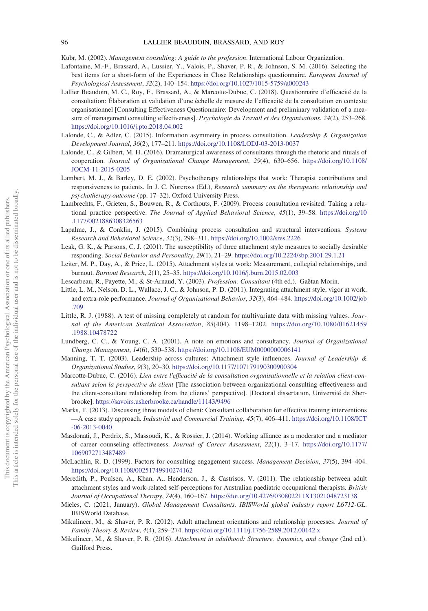<span id="page-16-1"></span>Kubr, M. (2002). Management consulting: A guide to the profession. International Labour Organization.

- <span id="page-16-20"></span>Lafontaine, M.-F., Brassard, A., Lussier, Y., Valois, P., Shaver, P. R., & Johnson, S. M. (2016). Selecting the best items for a short-form of the Experiences in Close Relationships questionnaire. European Journal of Psychological Assessment, 32(2), 140–154. <https://doi.org/10.1027/1015-5759/a000243>
- <span id="page-16-8"></span>Lallier Beaudoin, M. C., Roy, F., Brassard, A., & Marcotte-Dubuc, C. (2018). Questionnaire d'efficacité de la consultation: Elaboration et validation d'une échelle de mesure de l'efficacité de la consultation en contexte organisationnel [Consulting Effectiveness Questionnaire: Development and preliminary validation of a measure of management consulting effectiveness]. Psychologie du Travail et des Organisations, 24(2), 253–268. <https://doi.org/10.1016/j.pto.2018.04.002>
- <span id="page-16-6"></span>Lalonde, C., & Adler, C. (2015). Information asymmetry in process consultation. Leadership & Organization Development Journal, 36(2), 177–211. <https://doi.org/10.1108/LODJ-03-2013-0037>
- <span id="page-16-9"></span>Lalonde, C., & Gilbert, M. H. (2016). Dramaturgical awareness of consultants through the rhetoric and rituals of cooperation. Journal of Organizational Change Management, 29(4), 630–656. [https://doi.org/10.1108/](https://doi.org/10.1108/JOCM-11-2015-0205) [JOCM-11-2015-0205](https://doi.org/10.1108/JOCM-11-2015-0205)
- <span id="page-16-10"></span>Lambert, M. J., & Barley, D. E. (2002). Psychotherapy relationships that work: Therapist contributions and responsiveness to patients. In J. C. Norcross (Ed.), Research summary on the therapeutic relationship and psychotherapy outcome (pp. 17–32). Oxford University Press.
- <span id="page-16-5"></span>Lambrechts, F., Grieten, S., Bouwen, R., & Corthouts, F. (2009). Process consultation revisited: Taking a relational practice perspective. The Journal of Applied Behavioral Science, 45(1), 39–58. [https://doi.org/10](https://doi.org/10.1177/0021886308326563) [.1177/0021886308326563](https://doi.org/10.1177/0021886308326563)
- <span id="page-16-7"></span>Lapalme, J., & Conklin, J. (2015). Combining process consultation and structural interventions. Systems Research and Behavioral Science, 32(3), 298–311. <https://doi.org/10.1002/sres.2226>
- <span id="page-16-22"></span>Leak, G. K., & Parsons, C. J. (2001). The susceptibility of three attachment style measures to socially desirable responding. Social Behavior and Personality, 29(1), 21–29. <https://doi.org/10.2224/sbp.2001.29.1.21>
- <span id="page-16-16"></span>Leiter, M. P., Day, A., & Price, L. (2015). Attachment styles at work: Measurement, collegial relationships, and burnout. Burnout Research, 2(1), 25–35. <https://doi.org/10.1016/j.burn.2015.02.003>
- <span id="page-16-11"></span>Lescarbeau, R., Payette, M., & St-Arnaud, Y. (2003). Profession: Consultant (4th ed.). Gaëtan Morin.
- <span id="page-16-14"></span>Little, L. M., Nelson, D. L., Wallace, J. C., & Johnson, P. D. (2011). Integrating attachment style, vigor at work, and extra-role performance. Journal of Organizational Behavior, 32(3), 464–484. [https://doi.org/10.1002/job](https://doi.org/10.1002/job.709) [.709](https://doi.org/10.1002/job.709)
- <span id="page-16-21"></span>Little, R. J. (1988). A test of missing completely at random for multivariate data with missing values. Journal of the American Statistical Association, 83(404), 1198–1202. [https://doi.org/10.1080/01621459](https://doi.org/10.1080/01621459.1988.10478722) [.1988.10478722](https://doi.org/10.1080/01621459.1988.10478722)
- <span id="page-16-17"></span>Lundberg, C. C., & Young, C. A. (2001). A note on emotions and consultancy. Journal of Organizational Change Management, 14(6), 530–538. <https://doi.org/10.1108/EUM0000000006141>
- <span id="page-16-18"></span>Manning, T. T. (2003). Leadership across cultures: Attachment style influences. Journal of Leadership & Organizational Studies, 9(3), 20–30. <https://doi.org/10.1177/107179190300900304>
- <span id="page-16-4"></span>Marcotte-Dubuc, C. (2016). Lien entre l'efficacité de la consultation organisationnelle et la relation client-consultant selon la perspective du client [The association between organizational consulting effectiveness and the client-consultant relationship from the clients' perspective]. [Doctoral dissertation, Université de Sherbrooke]. <https://savoirs.usherbrooke.ca/handle/11143/9496>
- <span id="page-16-3"></span>Marks, T. (2013). Discussing three models of client: Consultant collaboration for effective training interventions —A case study approach. Industrial and Commercial Training, 45(7), 406–411. [https://doi.org/10.1108/ICT](https://doi.org/10.1108/ICT-06-2013-0040) [-06-2013-0040](https://doi.org/10.1108/ICT-06-2013-0040)
- <span id="page-16-12"></span>Masdonati, J., Perdrix, S., Massoudi, K., & Rossier, J. (2014). Working alliance as a moderator and a mediator of career counseling effectiveness. Journal of Career Assessment, 22(1), 3–17. [https://doi.org/10.1177/](https://doi.org/10.1177/1069072713487489) [1069072713487489](https://doi.org/10.1177/1069072713487489)
- <span id="page-16-2"></span>McLachlin, R. D. (1999). Factors for consulting engagement success. Management Decision, 37(5), 394-404. <https://doi.org/10.1108/00251749910274162>
- <span id="page-16-15"></span>Meredith, P., Poulsen, A., Khan, A., Henderson, J., & Castrisos, V. (2011). The relationship between adult attachment styles and work-related self-perceptions for Australian paediatric occupational therapists. British Journal of Occupational Therapy, 74(4), 160–167. <https://doi.org/10.4276/030802211X13021048723138>
- <span id="page-16-0"></span>Mieles, C. (2021, January). Global Management Consultants. IBISWorld global industry report L6712-GL. IBISWorld Database.
- <span id="page-16-19"></span>Mikulincer, M., & Shaver, P. R. (2012). Adult attachment orientations and relationship processes. Journal of Family Theory & Review, 4(4), 259–274. <https://doi.org/10.1111/j.1756-2589.2012.00142.x>
- <span id="page-16-13"></span>Mikulincer, M., & Shaver, P. R. (2016). Attachment in adulthood: Structure, dynamics, and change (2nd ed.). Guilford Press.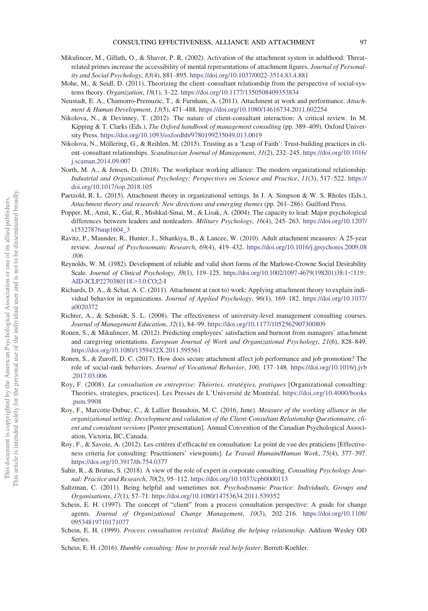- <span id="page-17-13"></span>Mikulincer, M., Gillath, O., & Shaver, P. R. (2002). Activation of the attachment system in adulthood: Threatrelated primes increase the accessibility of mental representations of attachment figures. Journal of Personality and Social Psychology, 83(4), 881–895. <https://doi.org/10.1037/0022-3514.83.4.881>
- <span id="page-17-9"></span>Mohe, M., & Seidl, D. (2011). Theorizing the client–consultant relationship from the perspective of social-systems theory. Organization, 18(1), 3–22. <https://doi.org/10.1177/1350508409353834>
- <span id="page-17-15"></span>Neustadt, E. A., Chamorro-Premuzic, T., & Furnham, A. (2011). Attachment at work and performance. Attachment & Human Development, 13(5), 471–488. <https://doi.org/10.1080/14616734.2011.602254>
- <span id="page-17-8"></span>Nikolova, N., & Devinney, T. (2012). The nature of client-consultant interaction: A critical review. In M. Kipping & T. Clarks (Eds.), *The Oxford handbook of management consulting* (pp. 389–409). Oxford University Press. <https://doi.org/10.1093/oxfordhb/9780199235049.013.0019>
- <span id="page-17-10"></span>Nikolova, N., Möllering, G., & Reihlen, M. (2015). Trusting as a 'Leap of Faith': Trust-building practices in client–consultant relationships. Scandinavian Journal of Management, 31(2), 232–245. [https://doi.org/10.1016/](https://doi.org/10.1016/j.scaman.2014.09.007) [j.scaman.2014.09.007](https://doi.org/10.1016/j.scaman.2014.09.007)
- <span id="page-17-11"></span>North, M. A., & Jensen, D. (2018). The workplace working alliance: The modern organizational relationship. Industrial and Organizational Psychology: Perspectives on Science and Practice, 11(3), 517–522. [https://](https://doi.org/10.1017/iop.2018.105) [doi.org/10.1017/iop.2018.105](https://doi.org/10.1017/iop.2018.105)
- <span id="page-17-3"></span>Paetzold, R. L. (2015). Attachment theory in organizational settings. In J. A. Simpson & W. S. Rholes (Eds.), Attachment theory and research: New directions and emerging themes (pp. 261–286). Guilford Press.
- <span id="page-17-17"></span>Popper, M., Amit, K., Gal, R., Mishkal-Sinai, M., & Lisak, A. (2004). The capacity to lead: Major psychological differences between leaders and nonleaders. Military Psychology, 16(4), 245–263. [https://doi.org/10.1207/](https://doi.org/10.1207/s15327876mp1604_3) [s15327876mp1604\\_3](https://doi.org/10.1207/s15327876mp1604_3)
- <span id="page-17-19"></span>Ravitz, P., Maunder, R., Hunter, J., Sthankiya, B., & Lancee, W. (2010). Adult attachment measures: A 25-year review. Journal of Psychosomatic Research, 69(4), 419–432. [https://doi.org/10.1016/j.jpsychores.2009.08](https://doi.org/10.1016/j.jpsychores.2009.08.006) [.006](https://doi.org/10.1016/j.jpsychores.2009.08.006)
- <span id="page-17-20"></span>Reynolds, W. M. (1982). Development of reliable and valid short forms of the Marlowe-Crowne Social Desirability Scale. Journal of Clinical Psychology, 38(1), 119-125. [https://doi.org/10.1002/1097-4679\(198201\)38:1](https://doi.org/10.1002/1097-4679(198201)38:1119::AID-JCLP22703801183.0.CO;2-I)<119:: [AID-JCLP2270380118](https://doi.org/10.1002/1097-4679(198201)38:1119::AID-JCLP22703801183.0.CO;2-I)>3.0.CO;2-I
- <span id="page-17-2"></span>Richards, D. A., & Schat, A. C. (2011). Attachment at (not to) work: Applying attachment theory to explain individual behavior in organizations. Journal of Applied Psychology, 96(1), 169–182. [https://doi.org/10.1037/](https://doi.org/10.1037/a0020372) [a0020372](https://doi.org/10.1037/a0020372)
- <span id="page-17-21"></span>Richter, A., & Schmidt, S. L. (2008). The effectiveness of university-level management consulting courses. Journal of Management Education, 32(1), 84–99. <https://doi.org/10.1177/1052562907300809>
- <span id="page-17-14"></span>Ronen, S., & Mikulincer, M. (2012). Predicting employees' satisfaction and burnout from managers' attachment and caregiving orientations. European Journal of Work and Organizational Psychology, 21(6), 828-849. <https://doi.org/10.1080/1359432X.2011.595561>
- <span id="page-17-16"></span>Ronen, S., & Zuroff, D. C. (2017). How does secure attachment affect job performance and job promotion? The role of social-rank behaviors. Journal of Vocational Behavior, 100, 137–148. [https://doi.org/10.1016/j.jvb](https://doi.org/10.1016/j.jvb.2017.03.006) [.2017.03.006](https://doi.org/10.1016/j.jvb.2017.03.006)
- <span id="page-17-1"></span>Roy, F. (2008). La consultation en entreprise: Théories, stratégies, pratiques [Organizational consulting: Theories, strategies, practices]. Les Presses de L'Université de Montréal. [https://doi.org/10.4000/books](https://doi.org/10.4000/books.pum.9908) [.pum.9908](https://doi.org/10.4000/books.pum.9908)
- <span id="page-17-12"></span>Roy, F., Marcotte-Dubuc, C., & Lallier Beaudoin, M. C. (2016, June). Measure of the working alliance in the organizational setting: Development and validation of the Client-Consultant Relationship Questionnaire, client and consultant versions [Poster presentation]. Annual Convention of the Canadian Psychological Association, Victoria, BC, Canada.
- <span id="page-17-7"></span>Roy, F., & Savoie, A. (2012). Les critères d'efficacité en consultation: Le point de vue des praticiens [Effectiveness criteria for consulting: Practitioners' viewpoints]. Le Travail Humain/Human Work, 75(4), 377–397. <https://doi.org/10.3917/th.754.0377>
- <span id="page-17-0"></span>Sahir, R., & Brutus, S. (2018). A view of the role of expert in corporate consulting. Consulting Psychology Journal: Practice and Research, 70(2), 95–112. <https://doi.org/10.1037/cpb0000113>
- <span id="page-17-6"></span>Saltzman, C. (2011). Being helpful and sometimes not. Psychodynamic Practice: Individuals, Groups and Organisations, 17(1), 57–71. <https://doi.org/10.1080/14753634.2011.539352>
- <span id="page-17-5"></span>Schein, E. H. (1997). The concept of "client" from a process consultation perspective: A guide for change agents. Journal of Organizational Change Management, 10(3), 202–216. [https://doi.org/10.1108/](https://doi.org/10.1108/09534819710171077) [09534819710171077](https://doi.org/10.1108/09534819710171077)
- <span id="page-17-4"></span>Schein, E. H. (1999). Process consultation revisited: Building the helping relationship. Addison Wesley OD Series.
- <span id="page-17-18"></span>Schein, E. H. (2016). Humble consulting: How to provide real help faster. Berrett-Koehler.